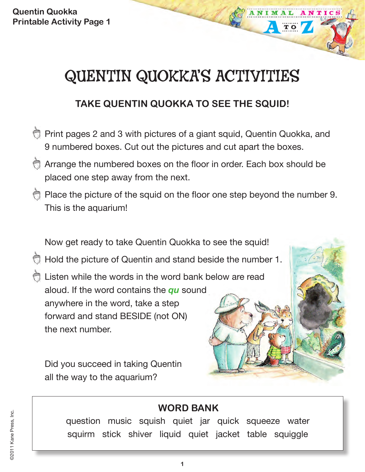# QUENTIN QUOKKA'S ACTIVITIES

TO

## **TAKE QUENTIN QUOKKA TO SEE THE SQUID!**

- Print pages 2 and 3 with pictures of a giant squid, Quentin Quokka, and 9 numbered boxes. Cut out the pictures and cut apart the boxes.
- Arrange the numbered boxes on the floor in order. Each box should be placed one step away from the next.
- Place the picture of the squid on the floor one step beyond the number 9. This is the aquarium!

Now get ready to take Quentin Quokka to see the squid!

- Hold the picture of Quentin and stand beside the number 1.
- Listen while the words in the word bank below are read aloud. If the word contains the *qu* sound anywhere in the word, take a step forward and stand BESIDE (not ON) the next number.

Did you succeed in taking Quentin all the way to the aquarium?

## **WORD BANK**

question music squish quiet jar quick squeeze water squirm stick shiver liquid quiet jacket table squiggle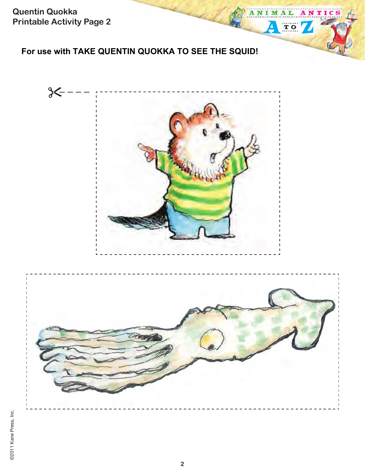## **For use with TAKE QUENTIN QUOKKA TO SEE THE SQUID!**



ANIM

 $\overline{\mathbf{A}}$ 

A ı

TO /

NTICS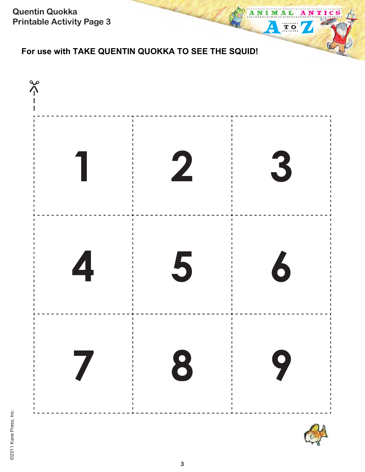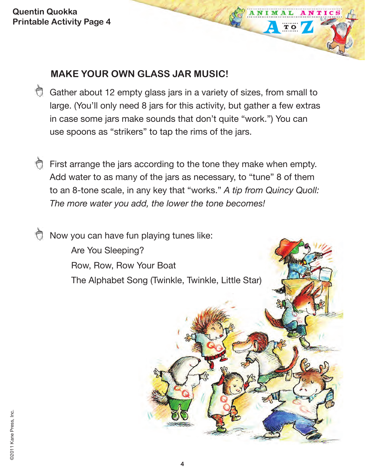## **MAKE YOUR OWN GLASS JAR MUSIC!**

Gather about 12 empty glass jars in a variety of sizes, from small to large. (You'll only need 8 jars for this activity, but gather a few extras in case some jars make sounds that don't quite "work.") You can use spoons as "strikers" to tap the rims of the jars.

NTIC

TO

First arrange the jars according to the tone they make when empty. Add water to as many of the jars as necessary, to "tune" 8 of them to an 8-tone scale, in any key that "works." *A tip from Quincy Quoll: The more water you add, the lower the tone becomes!* 

 $\bigcirc$  Now you can have fun playing tunes like: Are You Sleeping? Row, Row, Row Your Boat The Alphabet Song (Twinkle, Twinkle, Little Star)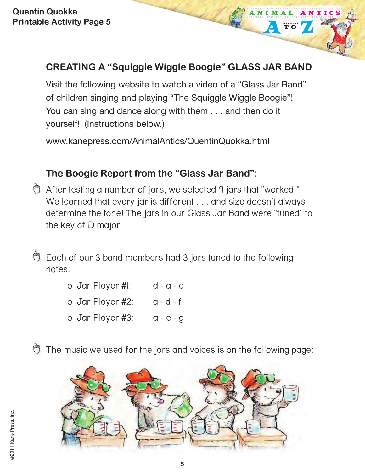## **CREATING A "Squiggle Wiggle Boogie" GLASS JAR BAND**

ANIMAL

TO

NTIC

Visit the following website to watch a video of a "Glass Jar Band" of children singing and playing "The Squiggle Wiggle Boogie"! You can sing and dance along with them . . . and then do it yourself! (Instructions below.)

www.kanepress.com/AnimalAntics/QuentinQuokka.html

## **The Boogie Report from the "Glass Jar Band":**

After testing a number of jars, we selected 9 jars that "worked." We learned that every jar is different . . . and size doesn't always determine the tone! The jars in our Glass Jar Band were "tuned" to the key of D major.

Each of our 3 band members had 3 jars tuned to the following notes:

> o Jar Player #1: d - a - c o Jar Player #2: g - d - f o Jar Player #3: a - e - g

The music we used for the jars and voices is on the following page:

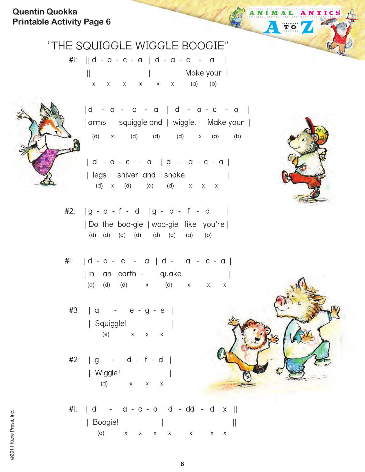## "THE SQUIGGLE WIGGLE BOOGIE"

#1: || d - a - c - a | d - a - c - a | || | Make your |  $x \times x \times x \times x \times (a)$  (b)



 | d - a - c - a | d - a - c - a | | arms squiggle and | wiggle. Make your | (d) x (d) (d) (d) x (a) (b)

- | d a c a | d a c a | | legs shiver and | shake. (d) x (d) (d) (d) x x x
- $#2: |g d f d| |g d f d|$  | Do the boo-gie | woo-gie like you're | (d) (d) (d) (d) (d) (d) (a) (b)
- #1: | d a c a | d a c a | | in an earth - | quake. (d) (d) (d) x (d) x x x
- #3: | a e g e | | Squiggle! | (e) x x x
- #2: | g d f d | | Wiggle! | (d) x x x
	- #1: | d a c a | d dd d x || | Boogie! | || (d) x x x x x x x



ANIMAL ANTICS

TO

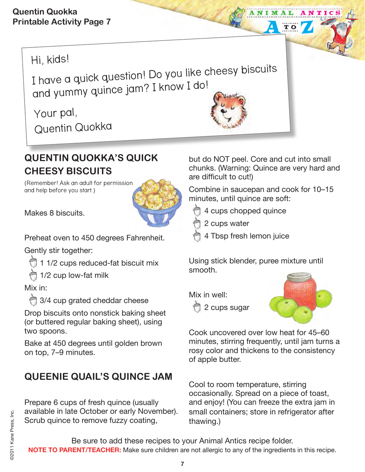## Hi, kids!

I have a quick question! Do you like cheesy biscuits and yummy quince jam? I know I do!

Your pal, Quentin Quokka

## **QUENTIN QUOKKA'S QUICK CHEESY BISCUITS**

(Remember! Ask an adult for permission and help before you start.)



Makes 8 biscuits.

Preheat oven to 450 degrees Fahrenheit.

Gently stir together:

1 1/2 cups reduced-fat biscuit mix

1/2 cup low-fat milk

#### Mix in:

3/4 cup grated cheddar cheese

Drop biscuits onto nonstick baking sheet (or buttered regular baking sheet), using two spoons.

Bake at 450 degrees until golden brown on top, 7–9 minutes.

## **QUEENIE QUAIL'S QUINCE JAM**

Prepare 6 cups of fresh quince (usually available in late October or early November). Scrub quince to remove fuzzy coating,

but do NOT peel. Core and cut into small chunks. (Warning: Quince are very hard and are difficult to cut!)

 $\overline{\mathbf{T}}$  O

Combine in saucepan and cook for 10–15 minutes, until quince are soft:

- 4 cups chopped quince
- 2 cups water
- 4 Tbsp fresh lemon juice

Using stick blender, puree mixture until smooth.

Mix in well:

2 cups sugar



Cook uncovered over low heat for 45–60 minutes, stirring frequently, until jam turns a rosy color and thickens to the consistency of apple butter.

Cool to room temperature, stirring occasionally. Spread on a piece of toast, and enjoy! (You can freeze the extra jam in small containers; store in refrigerator after thawing.)

Be sure to add these recipes to your Animal Antics recipe folder. **NOTE TO PARENT/TEACHER:** Make sure children are not allergic to any of the ingredients in this recipe.